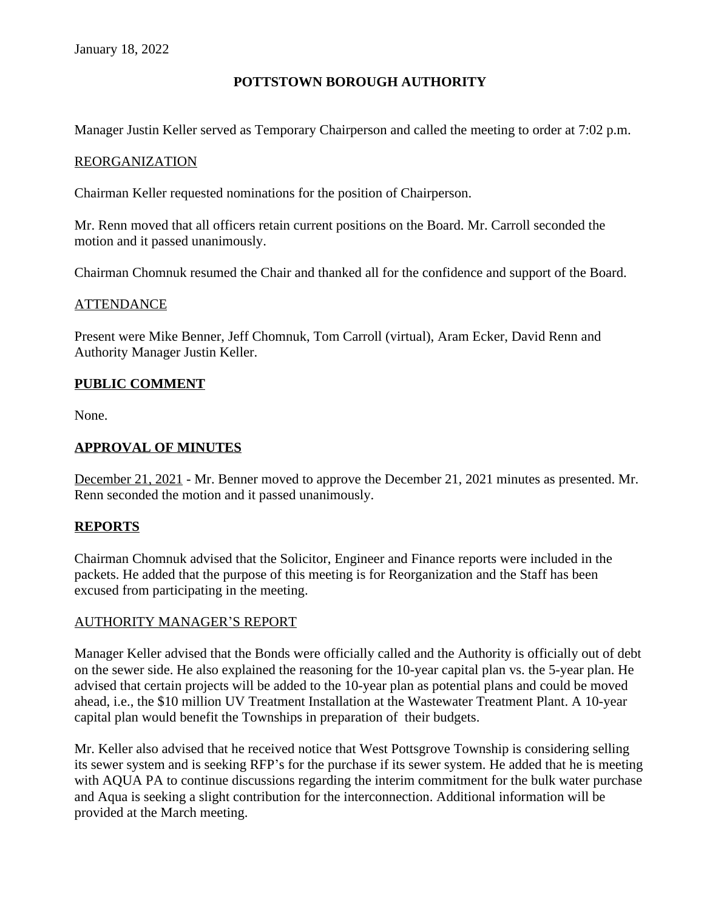# **POTTSTOWN BOROUGH AUTHORITY**

Manager Justin Keller served as Temporary Chairperson and called the meeting to order at 7:02 p.m.

#### REORGANIZATION

Chairman Keller requested nominations for the position of Chairperson.

Mr. Renn moved that all officers retain current positions on the Board. Mr. Carroll seconded the motion and it passed unanimously.

Chairman Chomnuk resumed the Chair and thanked all for the confidence and support of the Board.

#### **ATTENDANCE**

Present were Mike Benner, Jeff Chomnuk, Tom Carroll (virtual), Aram Ecker, David Renn and Authority Manager Justin Keller.

### **PUBLIC COMMENT**

None.

# **APPROVAL OF MINUTES**

December 21, 2021 - Mr. Benner moved to approve the December 21, 2021 minutes as presented. Mr. Renn seconded the motion and it passed unanimously.

### **REPORTS**

Chairman Chomnuk advised that the Solicitor, Engineer and Finance reports were included in the packets. He added that the purpose of this meeting is for Reorganization and the Staff has been excused from participating in the meeting.

#### AUTHORITY MANAGER'S REPORT

Manager Keller advised that the Bonds were officially called and the Authority is officially out of debt on the sewer side. He also explained the reasoning for the 10-year capital plan vs. the 5-year plan. He advised that certain projects will be added to the 10-year plan as potential plans and could be moved ahead, i.e., the \$10 million UV Treatment Installation at the Wastewater Treatment Plant. A 10-year capital plan would benefit the Townships in preparation of their budgets.

Mr. Keller also advised that he received notice that West Pottsgrove Township is considering selling its sewer system and is seeking RFP's for the purchase if its sewer system. He added that he is meeting with AQUA PA to continue discussions regarding the interim commitment for the bulk water purchase and Aqua is seeking a slight contribution for the interconnection. Additional information will be provided at the March meeting.